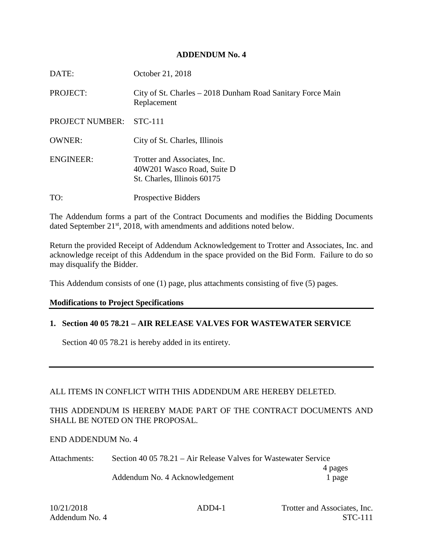## **ADDENDUM No. 4**

| DATE:            | October 21, 2018                                                                          |
|------------------|-------------------------------------------------------------------------------------------|
| PROJECT:         | City of St. Charles – 2018 Dunham Road Sanitary Force Main<br>Replacement                 |
| PROJECT NUMBER:  | <b>STC-111</b>                                                                            |
| <b>OWNER:</b>    | City of St. Charles, Illinois                                                             |
| <b>ENGINEER:</b> | Trotter and Associates, Inc.<br>40W201 Wasco Road, Suite D<br>St. Charles, Illinois 60175 |
| TO:              | <b>Prospective Bidders</b>                                                                |

The Addendum forms a part of the Contract Documents and modifies the Bidding Documents dated September 21<sup>st</sup>, 2018, with amendments and additions noted below.

Return the provided Receipt of Addendum Acknowledgement to Trotter and Associates, Inc. and acknowledge receipt of this Addendum in the space provided on the Bid Form. Failure to do so may disqualify the Bidder.

This Addendum consists of one (1) page, plus attachments consisting of five (5) pages.

## **Modifications to Project Specifications**

## **1. Section 40 05 78.21 – AIR RELEASE VALVES FOR WASTEWATER SERVICE**

Section 40 05 78.21 is hereby added in its entirety.

## ALL ITEMS IN CONFLICT WITH THIS ADDENDUM ARE HEREBY DELETED.

## THIS ADDENDUM IS HEREBY MADE PART OF THE CONTRACT DOCUMENTS AND SHALL BE NOTED ON THE PROPOSAL.

## END ADDENDUM No. 4

| Attachments: | Section 40 05 78.21 – Air Release Valves for Wastewater Service |         |  |
|--------------|-----------------------------------------------------------------|---------|--|
|              |                                                                 | 4 pages |  |
|              | Addendum No. 4 Acknowledgement                                  | 1 page  |  |

10/21/2018 ADD4-1 Trotter and Associates, Inc. Addendum No. 4 STC-111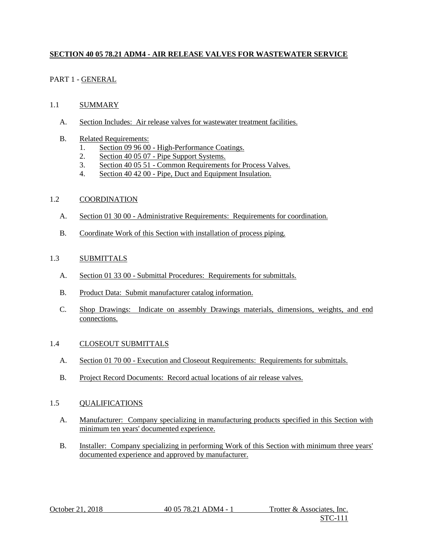## **SECTION 40 05 78.21 ADM4 - AIR RELEASE VALVES FOR WASTEWATER SERVICE**

## PART 1 - GENERAL

## 1.1 SUMMARY

- A. Section Includes: Air release valves for wastewater treatment facilities.
- B. Related Requirements:
	- 1. Section 09 96 00 High-Performance Coatings.<br>2. Section 40 05 07 Pipe Support Systems.
	- Section 40 05 07 Pipe Support Systems.
	- 3. Section 40 05 51 Common Requirements for Process Valves.
	- 4. Section 40 42 00 Pipe, Duct and Equipment Insulation.

## 1.2 COORDINATION

- A. Section 01 30 00 Administrative Requirements: Requirements for coordination.
- B. Coordinate Work of this Section with installation of process piping.

#### 1.3 SUBMITTALS

- A. Section 01 33 00 Submittal Procedures: Requirements for submittals.
- B. Product Data: Submit manufacturer catalog information.
- C. Shop Drawings: Indicate on assembly Drawings materials, dimensions, weights, and end connections.

## 1.4 CLOSEOUT SUBMITTALS

- A. Section 01 70 00 Execution and Closeout Requirements: Requirements for submittals.
- B. Project Record Documents: Record actual locations of air release valves.

## 1.5 QUALIFICATIONS

- A. Manufacturer: Company specializing in manufacturing products specified in this Section with minimum ten years' documented experience.
- B. Installer: Company specializing in performing Work of this Section with minimum three years' documented experience and approved by manufacturer.

October 21, 2018 40 05 78.21 ADM4 - 1 Trotter & Associates, Inc.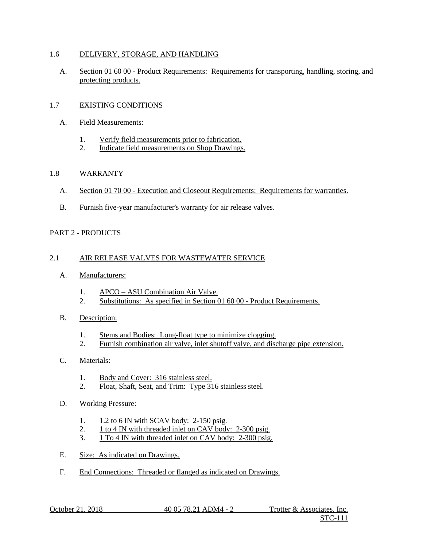#### 1.6 DELIVERY, STORAGE, AND HANDLING

A. Section 01 60 00 - Product Requirements: Requirements for transporting, handling, storing, and protecting products.

## 1.7 EXISTING CONDITIONS

- A. Field Measurements:
	- 1. Verify field measurements prior to fabrication.
	- 2. Indicate field measurements on Shop Drawings.

#### 1.8 WARRANTY

- A. Section 01 70 00 Execution and Closeout Requirements: Requirements for warranties.
- B. Furnish five-year manufacturer's warranty for air release valves.

#### PART 2 - PRODUCTS

#### 2.1 AIR RELEASE VALVES FOR WASTEWATER SERVICE

- A. Manufacturers:
	- 1. APCO ASU Combination Air Valve.
	- 2. Substitutions: As specified in Section 01 60 00 Product Requirements.
- B. Description:
	- 1. Stems and Bodies: Long-float type to minimize clogging.
	- 2. Furnish combination air valve, inlet shutoff valve, and discharge pipe extension.

## C. Materials:

- 1. Body and Cover: 316 stainless steel.
- 2. Float, Shaft, Seat, and Trim: Type 316 stainless steel.
- D. Working Pressure:
	- 1. 1.2 to 6 IN with SCAV body: 2-150 psig.
	- 2. 1 to 4 IN with threaded inlet on CAV body: 2-300 psig.
	- 3. 1 To 4 IN with threaded inlet on CAV body: 2-300 psig.
- E. Size: As indicated on Drawings.
- F. End Connections: Threaded or flanged as indicated on Drawings.

October 21, 2018 40 05 78.21 ADM4 - 2 Trotter & Associates, Inc.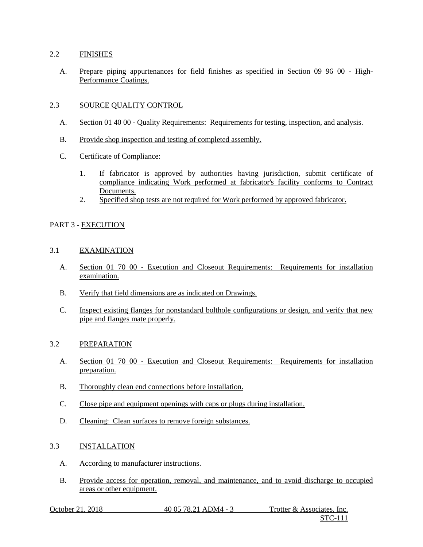#### 2.2 FINISHES

A. Prepare piping appurtenances for field finishes as specified in Section 09 96 00 - High-Performance Coatings.

#### 2.3 SOURCE QUALITY CONTROL

- A. Section 01 40 00 Quality Requirements: Requirements for testing, inspection, and analysis.
- B. Provide shop inspection and testing of completed assembly.
- C. Certificate of Compliance:
	- 1. If fabricator is approved by authorities having jurisdiction, submit certificate of compliance indicating Work performed at fabricator's facility conforms to Contract Documents.
	- 2. Specified shop tests are not required for Work performed by approved fabricator.

#### PART 3 - EXECUTION

#### 3.1 EXAMINATION

- A. Section 01 70 00 Execution and Closeout Requirements: Requirements for installation examination.
- B. Verify that field dimensions are as indicated on Drawings.
- C. Inspect existing flanges for nonstandard bolthole configurations or design, and verify that new pipe and flanges mate properly.

#### 3.2 PREPARATION

- A. Section 01 70 00 Execution and Closeout Requirements: Requirements for installation preparation.
- B. Thoroughly clean end connections before installation.
- C. Close pipe and equipment openings with caps or plugs during installation.
- D. Cleaning: Clean surfaces to remove foreign substances.

#### 3.3 INSTALLATION

- A. According to manufacturer instructions.
- B. Provide access for operation, removal, and maintenance, and to avoid discharge to occupied areas or other equipment.

| October 21, 2018 | 40 05 78.21 ADM4 - 3 | Trotter & Associates, Inc. |
|------------------|----------------------|----------------------------|
|                  |                      | <b>STC-111</b>             |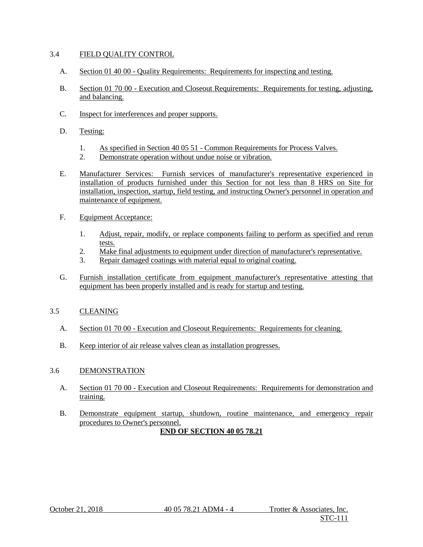#### 3.4 FIELD QUALITY CONTROL

- A. Section 01 40 00 Quality Requirements: Requirements for inspecting and testing.
- B. Section 01 70 00 Execution and Closeout Requirements: Requirements for testing, adjusting, and balancing.
- C. Inspect for interferences and proper supports.
- D. Testing:
	- 1. As specified in Section 40 05 51 Common Requirements for Process Valves.<br>2. Demonstrate operation without undue noise or vibration.
	- Demonstrate operation without undue noise or vibration.
- E. Manufacturer Services: Furnish services of manufacturer's representative experienced in installation of products furnished under this Section for not less than 8 HRS on Site for installation, inspection, startup, field testing, and instructing Owner's personnel in operation and maintenance of equipment.
- F. Equipment Acceptance:
	- 1. Adjust, repair, modify, or replace components failing to perform as specified and rerun tests.
	- 2. Make final adjustments to equipment under direction of manufacturer's representative.
	- 3. Repair damaged coatings with material equal to original coating.
- G. Furnish installation certificate from equipment manufacturer's representative attesting that equipment has been properly installed and is ready for startup and testing.

## 3.5 CLEANING

- A. Section 01 70 00 Execution and Closeout Requirements: Requirements for cleaning.
- B. Keep interior of air release valves clean as installation progresses.

#### 3.6 DEMONSTRATION

- A. Section 01 70 00 Execution and Closeout Requirements: Requirements for demonstration and training.
- B. Demonstrate equipment startup, shutdown, routine maintenance, and emergency repair procedures to Owner's personnel. **END OF SECTION 40 05 78.21**